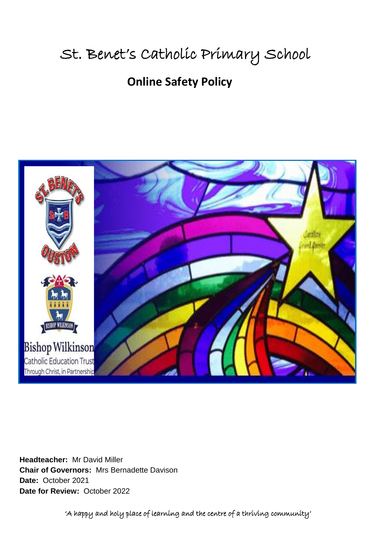# St. Benet's Catholic Primary School

## **Online Safety Policy**



**Headteacher:** Mr David Miller **Chair of Governors:** Mrs Bernadette Davison **Date:** October 2021 **Date for Review:** October 2022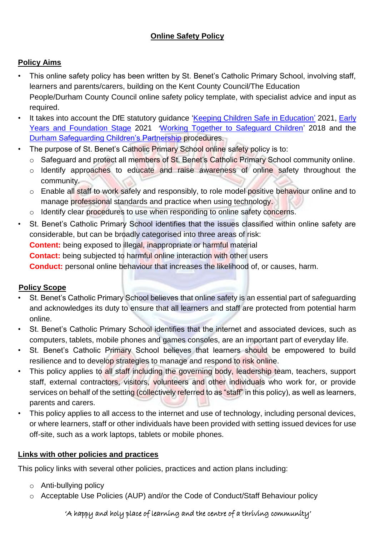### **Online Safety Policy**

### **Policy Aims**

- This online safety policy has been written by St. Benet's Catholic Primary School, involving staff, learners and parents/carers, building on the Kent County Council/The Education People/Durham County Council online safety policy template, with specialist advice and input as required.
- It takes into account the DfE statutory guidance ['Keeping Children Safe in Education'](https://www.gov.uk/government/publications/keeping-children-safe-in-education--2) 2021, Early [Years and Foundation Stage](https://www.gov.uk/government/publications/early-years-foundation-stage-framework--2) 2021 '[Working Together to Safeguard Children'](https://www.gov.uk/government/publications/working-together-to-safeguard-children--2) 2018 and the [Durham](http://www.durham-scp.org.uk/whats-new/) [Safeguarding Children's Partnership](http://www.durham-scp.org.uk/whats-new/) [p](http://www.durham-scp.org.uk/whats-new/)rocedures.
- The purpose of St. Benet's Catholic Primary School online safety policy is to:
	- o Safeguard and protect all members of St. Benet's Catholic Primary School community online.
	- o Identify approaches to educate and raise awareness of online safety throughout the community.
	- o Enable all staff to work safely and responsibly, to role model positive behaviour online and to manage professional standards and practice when using technology.
	- o Identify clear procedures to use when responding to online safety concerns.
- St. Benet's Catholic Primary School identifies that the issues classified within online safety are considerable, but can be broadly categorised into three areas of risk: **Content:** being exposed to illegal, inappropriate or harmful material **Contact:** being subjected to harmful online interaction with other users **Conduct:** personal online behaviour that increases the likelihood of, or causes, harm.

### **Policy Scope**

- St. Benet's Catholic Primary School believes that online safety is an essential part of safeguarding and acknowledges its duty to ensure that all learners and staff are protected from potential harm online.
- St. Benet's Catholic Primary School identifies that the internet and associated devices, such as computers, tablets, mobile phones and games consoles, are an important part of everyday life.
- St. Benet's Catholic Primary School believes that learners should be empowered to build resilience and to develop strategies to manage and respond to risk online.
- This policy applies to all staff including the governing body, leadership team, teachers, support staff, external contractors, visitors, volunteers and other individuals who work for, or provide services on behalf of the setting (collectively referred to as "staff" in this policy), as well as learners, parents and carers.
- This policy applies to all access to the internet and use of technology, including personal devices, or where learners, staff or other individuals have been provided with setting issued devices for use off-site, such as a work laptops, tablets or mobile phones.

### **Links with other policies and practices**

This policy links with several other policies, practices and action plans including:

- o Anti-bullying policy
- o Acceptable Use Policies (AUP) and/or the Code of Conduct/Staff Behaviour policy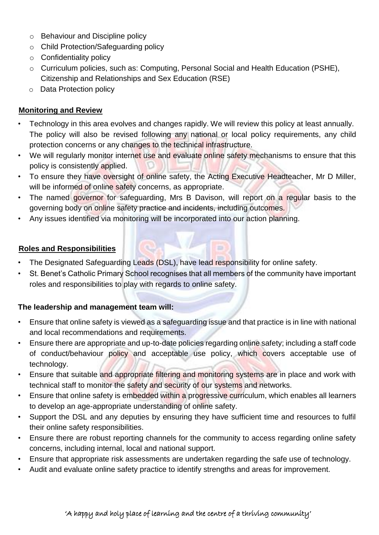- o Behaviour and Discipline policy
- o Child Protection/Safeguarding policy
- $\circ$  Confidentiality policy
- o Curriculum policies, such as: Computing, Personal Social and Health Education (PSHE), Citizenship and Relationships and Sex Education (RSE)
- o Data Protection policy

#### **Monitoring and Review**

- Technology in this area evolves and changes rapidly. We will review this policy at least annually. The policy will also be revised following any national or local policy requirements, any child protection concerns or any changes to the technical infrastructure.
- We will regularly monitor internet use and evaluate online safety mechanisms to ensure that this policy is consistently applied.
- To ensure they have oversight of online safety, the Acting Executive Headteacher, Mr D Miller, will be informed of online safety concerns, as appropriate.
- The named governor for safeguarding, Mrs B Davison, will report on a regular basis to the governing body on online safety practice and incidents, including outcomes.
- Any issues identified via monitoring will be incorporated into our action planning.

#### **Roles and Responsibilities**

- The Designated Safeguarding Leads (DSL), have lead responsibility for online safety.
- St. Benet's Catholic Primary School recognises that all members of the community have important roles and responsibilities to play with regards to online safety.

#### **The leadership and management team will:**

- Ensure that online safety is viewed as a safeguarding issue and that practice is in line with national and local recommendations and requirements.
- Ensure there are appropriate and up-to-date policies regarding online safety; including a staff code of conduct/behaviour policy and acceptable use policy, which covers acceptable use of technology.
- Ensure that suitable and appropriate filtering and monitoring systems are in place and work with technical staff to monitor the safety and security of our systems and networks.
- Ensure that online safety is embedded within a progressive curriculum, which enables all learners to develop an age-appropriate understanding of online safety.
- Support the DSL and any deputies by ensuring they have sufficient time and resources to fulfil their online safety responsibilities.
- Ensure there are robust reporting channels for the community to access regarding online safety concerns, including internal, local and national support.
- Ensure that appropriate risk assessments are undertaken regarding the safe use of technology.
- Audit and evaluate online safety practice to identify strengths and areas for improvement.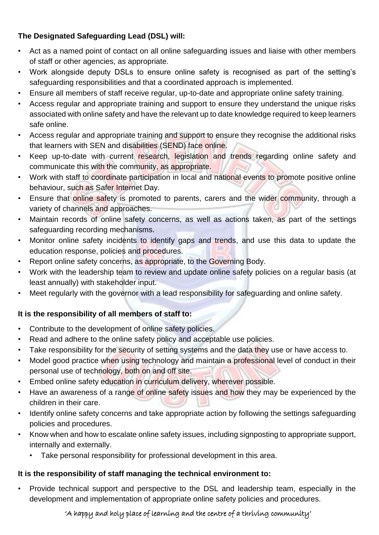### **The Designated Safeguarding Lead (DSL) will:**

- Act as a named point of contact on all online safeguarding issues and liaise with other members of staff or other agencies, as appropriate.
- Work alongside deputy DSLs to ensure online safety is recognised as part of the setting's safeguarding responsibilities and that a coordinated approach is implemented.
- Ensure all members of staff receive regular, up-to-date and appropriate online safety training.
- Access regular and appropriate training and support to ensure they understand the unique risks associated with online safety and have the relevant up to date knowledge required to keep learners safe online.
- Access regular and appropriate training and support to ensure they recognise the additional risks that learners with SEN and disabilities (SEND) face online.
- Keep up-to-date with current research, legislation and trends regarding online safety and communicate this with the community, as appropriate.
- Work with staff to coordinate participation in local and national events to promote positive online behaviour, such as Safer Internet Day.
- Ensure that online safety is promoted to parents, carers and the wider community, through a variety of channels and approaches.
- Maintain records of online safety concerns, as well as actions taken, as part of the settings safeguarding recording mechanisms.
- Monitor online safety incidents to identify gaps and trends, and use this data to update the education response, policies and procedures.
- Report online safety concerns, as appropriate, to the Governing Body.
- Work with the leadership team to review and update online safety policies on a regular basis (at least annually) with stakeholder input.
- Meet regularly with the governor with a lead responsibility for safeguarding and online safety.

### **It is the responsibility of all members of staff to:**

- Contribute to the development of online safety policies.
- Read and adhere to the online safety policy and acceptable use policies.
- Take responsibility for the security of setting systems and the data they use or have access to.
- Model good practice when using technology and maintain a professional level of conduct in their personal use of technology, both on and off site.
- Embed online safety education in curriculum delivery, wherever possible.
- Have an awareness of a range of online safety issues and how they may be experienced by the children in their care.
- Identify online safety concerns and take appropriate action by following the settings safeguarding policies and procedures.
- Know when and how to escalate online safety issues, including signposting to appropriate support, internally and externally.
	- Take personal responsibility for professional development in this area.

### **It is the responsibility of staff managing the technical environment to:**

• Provide technical support and perspective to the DSL and leadership team, especially in the development and implementation of appropriate online safety policies and procedures.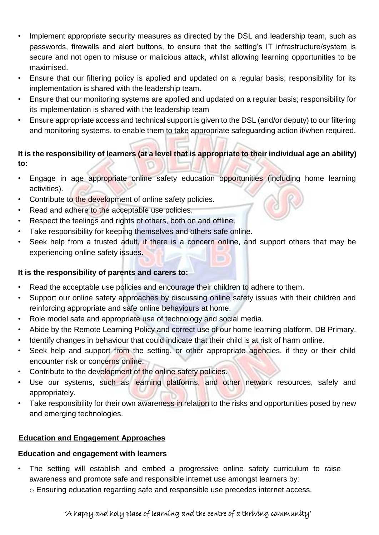- Implement appropriate security measures as directed by the DSL and leadership team, such as passwords, firewalls and alert buttons, to ensure that the setting's IT infrastructure/system is secure and not open to misuse or malicious attack, whilst allowing learning opportunities to be maximised.
- Ensure that our filtering policy is applied and updated on a regular basis; responsibility for its implementation is shared with the leadership team.
- Ensure that our monitoring systems are applied and updated on a regular basis; responsibility for its implementation is shared with the leadership team
- Ensure appropriate access and technical support is given to the DSL (and/or deputy) to our filtering and monitoring systems, to enable them to take appropriate safeguarding action if/when required.

**It is the responsibility of learners (at a level that is appropriate to their individual age an ability) to:** 

- Engage in age appropriate online safety education opportunities (including home learning activities).
- Contribute to the development of online safety policies.
- Read and adhere to the acceptable use policies.
- Respect the feelings and rights of others, both on and offline.
- Take responsibility for keeping themselves and others safe online.
- Seek help from a trusted adult, if there is a concern online, and support others that may be experiencing online safety issues.

### **It is the responsibility of parents and carers to:**

- Read the acceptable use policies and encourage their children to adhere to them.
- Support our online safety approaches by discussing online safety issues with their children and reinforcing appropriate and safe online behaviours at home.
- Role model safe and appropriate use of technology and social media.
- Abide by the Remote Learning Policy and correct use of our home learning platform, DB Primary.
- Identify changes in behaviour that could indicate that their child is at risk of harm online.
- Seek help and support from the setting, or other appropriate agencies, if they or their child encounter risk or concerns online.
- Contribute to the development of the online safety policies.
- Use our systems, such as learning platforms, and other network resources, safely and appropriately.
- Take responsibility for their own awareness in relation to the risks and opportunities posed by new and emerging technologies.

### **Education and Engagement Approaches**

### **Education and engagement with learners**

- The setting will establish and embed a progressive online safety curriculum to raise awareness and promote safe and responsible internet use amongst learners by:
	- o Ensuring education regarding safe and responsible use precedes internet access.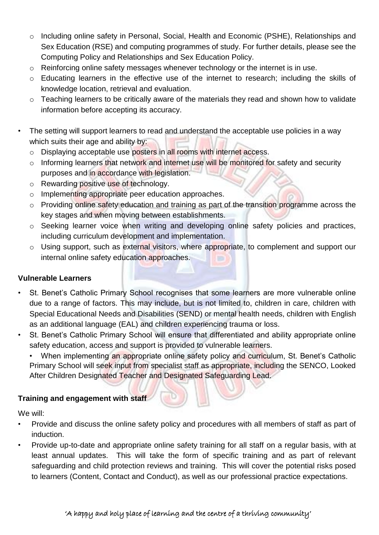- o Including online safety in Personal, Social, Health and Economic (PSHE), Relationships and Sex Education (RSE) and computing programmes of study. For further details, please see the Computing Policy and Relationships and Sex Education Policy.
- o Reinforcing online safety messages whenever technology or the internet is in use.
- o Educating learners in the effective use of the internet to research; including the skills of knowledge location, retrieval and evaluation.
- o Teaching learners to be critically aware of the materials they read and shown how to validate information before accepting its accuracy.
- The setting will support learners to read and understand the acceptable use policies in a way which suits their age and ability by:
	- o Displaying acceptable use posters in all rooms with internet access.
	- $\circ$  Informing learners that network and internet use will be monitored for safety and security purposes and in accordance with legislation.
	- $\circ$  Rewarding positive use of technology.
	- o Implementing appropriate peer education approaches.
	- o Providing online safety education and training as part of the transition programme across the key stages and when moving between establishments.
	- o Seeking learner voice when writing and developing online safety policies and practices, including curriculum development and implementation.
	- o Using support, such as external visitors, where appropriate, to complement and support our internal online safety education approaches.

### **Vulnerable Learners**

- St. Benet's Catholic Primary School recognises that some learners are more vulnerable online due to a range of factors. This may include, but is not limited to, children in care, children with Special Educational Needs and Disabilities (SEND) or mental health needs, children with English as an additional language (EAL) and children experiencing trauma or loss.
- St. Benet's Catholic Primary School will ensure that differentiated and ability appropriate online safety education, access and support is provided to vulnerable learners.

• When implementing an appropriate online safety policy and curriculum, St. Benet's Catholic Primary School will seek input from specialist staff as appropriate, including the SENCO, Looked After Children Designated Teacher and Designated Safeguarding Lead.

#### **Training and engagement with staff**

We will:

- Provide and discuss the online safety policy and procedures with all members of staff as part of induction.
- Provide up-to-date and appropriate online safety training for all staff on a regular basis, with at least annual updates. This will take the form of specific training and as part of relevant safeguarding and child protection reviews and training. This will cover the potential risks posed to learners (Content, Contact and Conduct), as well as our professional practice expectations.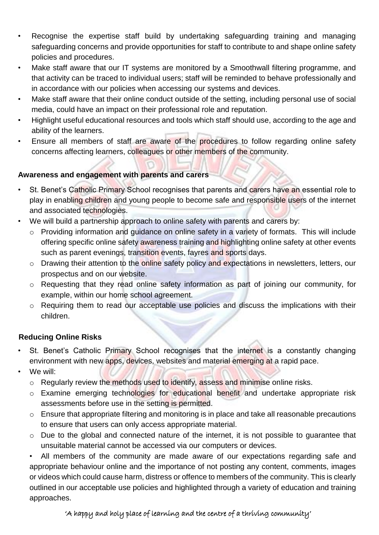- Recognise the expertise staff build by undertaking safeguarding training and managing safeguarding concerns and provide opportunities for staff to contribute to and shape online safety policies and procedures.
- Make staff aware that our IT systems are monitored by a Smoothwall filtering programme, and that activity can be traced to individual users; staff will be reminded to behave professionally and in accordance with our policies when accessing our systems and devices.
- Make staff aware that their online conduct outside of the setting, including personal use of social media, could have an impact on their professional role and reputation.
- Highlight useful educational resources and tools which staff should use, according to the age and ability of the learners.
- Ensure all members of staff are aware of the procedures to follow regarding online safety concerns affecting learners, colleagues or other members of the community.

### **Awareness and engagement with parents and carers**

- St. Benet's Catholic Primary School recognises that parents and carers have an essential role to play in enabling children and young people to become safe and responsible users of the internet and associated technologies.
- We will build a partnership approach to online safety with parents and carers by:
	- o Providing information and guidance on online safety in a variety of formats. This will include offering specific online safety awareness training and highlighting online safety at other events such as parent evenings, transition events, fayres and sports days.
	- o Drawing their attention to the online safety policy and expectations in newsletters, letters, our prospectus and on our website.
	- o Requesting that they read online safety information as part of joining our community, for example, within our home school agreement.
	- o Requiring them to read our acceptable use policies and discuss the implications with their children.

### **Reducing Online Risks**

- St. Benet's Catholic Primary School recognises that the internet is a constantly changing environment with new apps, devices, websites and material emerging at a rapid pace.
- We will:
	- o Regularly review the methods used to identify, assess and minimise online risks.
	- o Examine emerging technologies for educational benefit and undertake appropriate risk assessments before use in the setting is permitted.
	- o Ensure that appropriate filtering and monitoring is in place and take all reasonable precautions to ensure that users can only access appropriate material.
	- o Due to the global and connected nature of the internet, it is not possible to guarantee that unsuitable material cannot be accessed via our computers or devices.

• All members of the community are made aware of our expectations regarding safe and appropriate behaviour online and the importance of not posting any content, comments, images or videos which could cause harm, distress or offence to members of the community. This is clearly outlined in our acceptable use policies and highlighted through a variety of education and training approaches.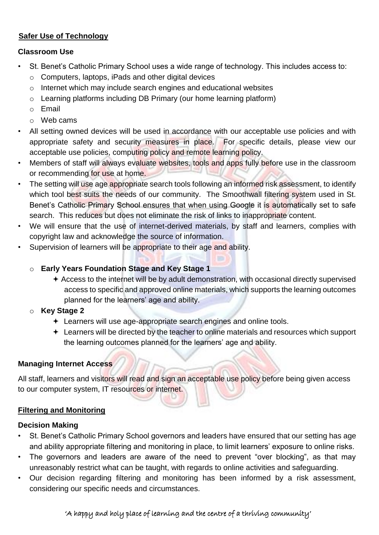### **Safer Use of Technology**

#### **Classroom Use**

- St. Benet's Catholic Primary School uses a wide range of technology. This includes access to:
	- o Computers, laptops, iPads and other digital devices
	- o Internet which may include search engines and educational websites
	- o Learning platforms including DB Primary (our home learning platform)
	- o Email
	- o Web cams
- All setting owned devices will be used in accordance with our acceptable use policies and with appropriate safety and security measures in place. For specific details, please view our acceptable use policies, computing policy and remote learning policy.
- Members of staff will always evaluate websites, tools and apps fully before use in the classroom or recommending for use at home.
- The setting will use age appropriate search tools following an informed risk assessment, to identify which tool best suits the needs of our community. The Smoothwall filtering system used in St. Benet's Catholic Primary School ensures that when using Google it is automatically set to safe search. This reduces but does not eliminate the risk of links to inappropriate content.
- We will ensure that the use of internet-derived materials, by staff and learners, complies with copyright law and acknowledge the source of information.
- Supervision of learners will be appropriate to their age and ability.

### o **Early Years Foundation Stage and Key Stage 1**

 $\triangle$  Access to the internet will be by adult demonstration, with occasional directly supervised access to specific and approved online materials, which supports the learning outcomes planned for the learners' age and ability.

### o **Key Stage 2**

- Learners will use age-appropriate search engines and online tools.
- Learners will be directed by the teacher to online materials and resources which support the learning outcomes planned for the learners' age and ability.

### **Managing Internet Access**

All staff, learners and visitors will read and sign an acceptable use policy before being given access to our computer system, IT resources or internet.

### **Filtering and Monitoring**

### **Decision Making**

- St. Benet's Catholic Primary School governors and leaders have ensured that our setting has age and ability appropriate filtering and monitoring in place, to limit learners' exposure to online risks.
- The governors and leaders are aware of the need to prevent "over blocking", as that may unreasonably restrict what can be taught, with regards to online activities and safeguarding.
- Our decision regarding filtering and monitoring has been informed by a risk assessment, considering our specific needs and circumstances.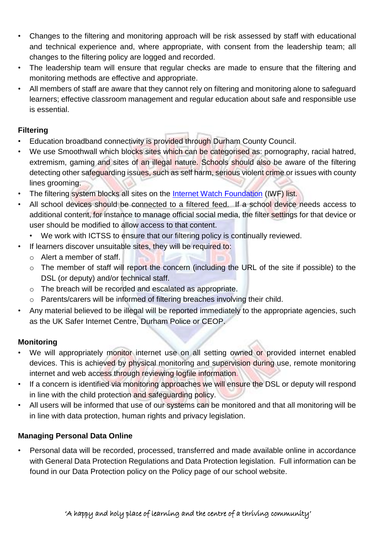- Changes to the filtering and monitoring approach will be risk assessed by staff with educational and technical experience and, where appropriate, with consent from the leadership team; all changes to the filtering policy are logged and recorded.
- The leadership team will ensure that regular checks are made to ensure that the filtering and monitoring methods are effective and appropriate.
- All members of staff are aware that they cannot rely on filtering and monitoring alone to safeguard learners; effective classroom management and regular education about safe and responsible use is essential.

### **Filtering**

- Education broadband connectivity is provided through Durham County Council.
- We use Smoothwall which blocks sites which can be categorised as: pornography, racial hatred, extremism, gaming and sites of an illegal nature. Schools should also be aware of the filtering detecting other safeguarding issues, such as self harm, serious violent crime or issues with county lines grooming.
- The filtering system blocks all sites on the [Internet Watch Foundation](https://www.iwf.org.uk/) (IWF) list.
- All school devices should be connected to a filtered feed. If a school device needs access to additional content, for instance to manage official social media, the filter settings for that device or user should be modified to allow access to that content.
	- We work with ICTSS to ensure that our filtering policy is continually reviewed.
- If learners discover unsuitable sites, they will be required to:
	- o Alert a member of staff.
	- o The member of staff will report the concern (including the URL of the site if possible) to the DSL (or deputy) and/or technical staff.
	- o The breach will be recorded and escalated as appropriate.
	- o Parents/carers will be informed of filtering breaches involving their child.
- Any material believed to be illegal will be reported immediately to the appropriate agencies, such as the UK Safer Internet Centre, Durham Police or CEOP.

### **Monitoring**

- We will appropriately monitor internet use on all setting owned or provided internet enabled devices. This is achieved by physical monitoring and supervision during use, remote monitoring internet and web access through reviewing logfile information*.*
- If a concern is identified via monitoring approaches we will ensure the DSL or deputy will respond in line with the child protection and safeguarding policy.
- All users will be informed that use of our systems can be monitored and that all monitoring will be in line with data protection, human rights and privacy legislation.

### **Managing Personal Data Online**

• Personal data will be recorded, processed, transferred and made available online in accordance with General Data Protection Regulations and Data Protection legislation. Full information can be found in our Data Protection policy on the Policy page of our school website.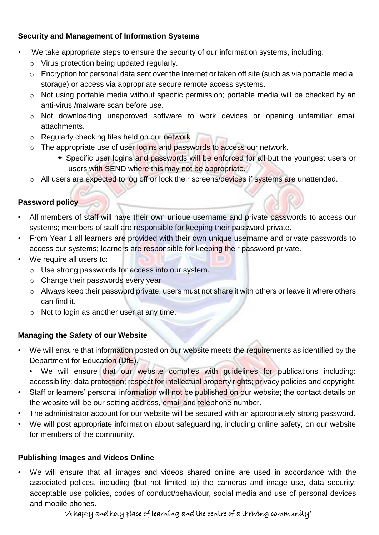### **Security and Management of Information Systems**

- We take appropriate steps to ensure the security of our information systems, including:
	- o Virus protection being updated regularly.
	- o Encryption for personal data sent over the Internet or taken off site (such as via portable media storage) or access via appropriate secure remote access systems.
	- o Not using portable media without specific permission; portable media will be checked by an anti-virus /malware scan before use.
	- o Not downloading unapproved software to work devices or opening unfamiliar email attachments.
	- o Regularly checking files held on our network
	- $\circ$  The appropriate use of user logins and passwords to access our network.
		- Specific user logins and passwords will be enforced for all but the youngest users or users with SEND where this may not be appropriate.
	- o All users are expected to log off or lock their screens/devices if systems are unattended.

### **Password policy**

- All members of staff will have their own unique username and private passwords to access our systems; members of staff are responsible for keeping their password private.
- From Year 1 all learners are provided with their own unique username and private passwords to access our systems; learners are responsible for keeping their password private.
- We require all users to:
	- o Use strong passwords for access into our system.
	- o Change their passwords every year
	- o Always keep their password private; users must not share it with others or leave it where others can find it.
	- o Not to login as another user at any time.

### **Managing the Safety of our Website**

- We will ensure that information posted on our website meets the requirements as identified by the Department for Education (DfE).
	- We will ensure that our website complies with guidelines for publications including: accessibility; data protection; respect for intellectual property rights; privacy policies and copyright.
- Staff or learners' personal information will not be published on our website; the contact details on the website will be our setting address, email and telephone number.
- The administrator account for our website will be secured with an appropriately strong password.
- We will post appropriate information about safeguarding, including online safety, on our website for members of the community.

### **Publishing Images and Videos Online**

We will ensure that all images and videos shared online are used in accordance with the associated polices, including (but not limited to) the cameras and image use, data security, acceptable use policies, codes of conduct/behaviour, social media and use of personal devices and mobile phones.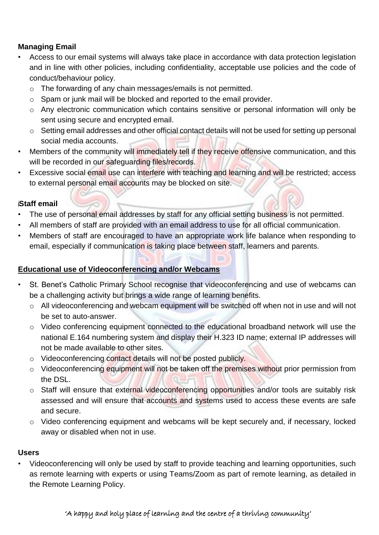### **Managing Email**

- Access to our email systems will always take place in accordance with data protection legislation and in line with other policies, including confidentiality, acceptable use policies and the code of conduct/behaviour policy.
	- o The forwarding of any chain messages/emails is not permitted.
	- o Spam or junk mail will be blocked and reported to the email provider.
	- o Any electronic communication which contains sensitive or personal information will only be sent using secure and encrypted email.
	- o Setting email addresses and other official contact details will not be used for setting up personal social media accounts.
- Members of the community will immediately tell if they receive offensive communication, and this will be recorded in our safeguarding files/records.
- Excessive social email use can interfere with teaching and learning and will be restricted; access to external personal email accounts may be blocked on site.

### **Staff email**

- The use of personal email addresses by staff for any official setting business is not permitted.
- All members of staff are provided with an email address to use for all official communication.
- Members of staff are encouraged to have an appropriate work life balance when responding to email, especially if communication is taking place between staff, learners and parents.

### **Educational use of Videoconferencing and/or Webcams**

- St. Benet's Catholic Primary School recognise that videoconferencing and use of webcams can be a challenging activity but brings a wide range of learning benefits.
	- o All videoconferencing and webcam equipment will be switched off when not in use and will not be set to auto-answer.
	- o Video conferencing equipment connected to the educational broadband network will use the national E.164 numbering system and display their H.323 ID name; external IP addresses will not be made available to other sites.
	- o Videoconferencing contact details will not be posted publicly.
	- o Videoconferencing equipment will not be taken off the premises without prior permission from the DSL.
	- o Staff will ensure that external videoconferencing opportunities and/or tools are suitably risk assessed and will ensure that accounts and systems used to access these events are safe and secure.
	- o Video conferencing equipment and webcams will be kept securely and, if necessary, locked away or disabled when not in use.

### **Users**

• Videoconferencing will only be used by staff to provide teaching and learning opportunities, such as remote learning with experts or using Teams/Zoom as part of remote learning, as detailed in the Remote Learning Policy.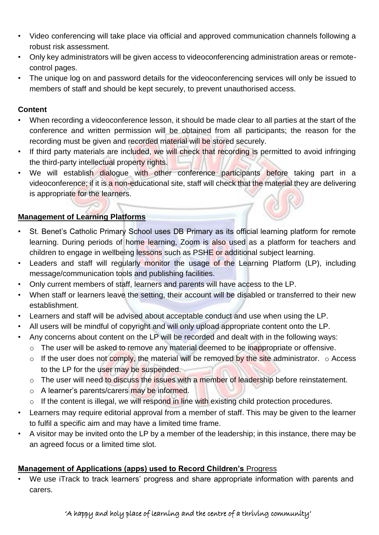- Video conferencing will take place via official and approved communication channels following a robust risk assessment.
- Only key administrators will be given access to videoconferencing administration areas or remotecontrol pages.
- The unique log on and password details for the videoconferencing services will only be issued to members of staff and should be kept securely, to prevent unauthorised access.

### **Content**

- When recording a videoconference lesson, it should be made clear to all parties at the start of the conference and written permission will be obtained from all participants; the reason for the recording must be given and recorded material will be stored securely.
- If third party materials are included, we will check that recording is permitted to avoid infringing the third-party intellectual property rights.
- We will establish dialogue with other conference participants before taking part in a videoconference; if it is a non-educational site, staff will check that the material they are delivering is appropriate for the learners.

### **Management of Learning Platforms**

- St. Benet's Catholic Primary School uses DB Primary as its official learning platform for remote learning. During periods of home learning, Zoom is also used as a platform for teachers and children to engage in wellbeing lessons such as PSHE or additional subject learning.
- Leaders and staff will regularly monitor the usage of the Learning Platform (LP), including message/communication tools and publishing facilities.
- Only current members of staff, learners and parents will have access to the LP.
- When staff or learners leave the setting, their account will be disabled or transferred to their new establishment.
- Learners and staff will be advised about acceptable conduct and use when using the LP.
- All users will be mindful of copyright and will only upload appropriate content onto the LP.
- Any concerns about content on the LP will be recorded and dealt with in the following ways:
	- o The user will be asked to remove any material deemed to be inappropriate or offensive.
	- o If the user does not comply, the material will be removed by the site administrator.  $\circ$  Access to the LP for the user may be suspended.
	- $\circ$  The user will need to discuss the issues with a member of leadership before reinstatement.
	- o A learner's parents/carers may be informed.
	- $\circ$  If the content is illegal, we will respond in line with existing child protection procedures.
- Learners may require editorial approval from a member of staff. This may be given to the learner to fulfil a specific aim and may have a limited time frame.
- A visitor may be invited onto the LP by a member of the leadership; in this instance, there may be an agreed focus or a limited time slot.

### **Management of Applications (apps) used to Record Children's** Progress

• We use iTrack to track learners' progress and share appropriate information with parents and carers.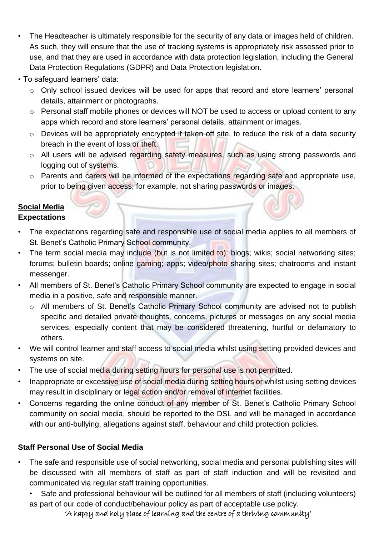- The Headteacher is ultimately responsible for the security of any data or images held of children. As such, they will ensure that the use of tracking systems is appropriately risk assessed prior to use, and that they are used in accordance with data protection legislation, including the General Data Protection Regulations (GDPR) and Data Protection legislation.
- To safeguard learners' data:
	- o Only school issued devices will be used for apps that record and store learners' personal details, attainment or photographs.
	- o Personal staff mobile phones or devices will NOT be used to access or upload content to any apps which record and store learners' personal details, attainment or images.
	- o Devices will be appropriately encrypted if taken off site, to reduce the risk of a data security breach in the event of loss or theft.
	- o All users will be advised regarding safety measures, such as using strong passwords and logging out of systems.
	- o Parents and carers will be informed of the expectations regarding safe and appropriate use, prior to being given access; for example, not sharing passwords or images.

#### **Social Media** **Expectations**

- The expectations regarding safe and responsible use of social media applies to all members of St. Benet's Catholic Primary School community.
- The term social media may include (but is not limited to): blogs; wikis; social networking sites; forums; bulletin boards; online gaming; apps; video/photo sharing sites; chatrooms and instant messenger.
- All members of St. Benet's Catholic Primary School community are expected to engage in social media in a positive, safe and responsible manner.
	- o All members of St. Benet's Catholic Primary School community are advised not to publish specific and detailed private thoughts, concerns, pictures or messages on any social media services, especially content that may be considered threatening, hurtful or defamatory to others.
- We will control learner and staff access to social media whilst using setting provided devices and systems on site.
- The use of social media during setting hours for personal use is not permitted.
- Inappropriate or excessive use of social media during setting hours or whilst using setting devices may result in disciplinary or legal action and/or removal of internet facilities.
- Concerns regarding the online conduct of any member of St. Benet's Catholic Primary School community on social media, should be reported to the DSL and will be managed in accordance with our anti-bullying, allegations against staff, behaviour and child protection policies.

### **Staff Personal Use of Social Media**

- The safe and responsible use of social networking, social media and personal publishing sites will be discussed with all members of staff as part of staff induction and will be revisited and communicated via regular staff training opportunities.
	- Safe and professional behaviour will be outlined for all members of staff (including volunteers) as part of our code of conduct/behaviour policy as part of acceptable use policy.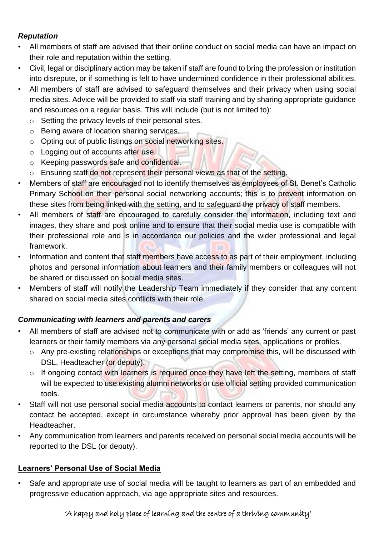### *Reputation*

- All members of staff are advised that their online conduct on social media can have an impact on their role and reputation within the setting.
- Civil, legal or disciplinary action may be taken if staff are found to bring the profession or institution into disrepute, or if something is felt to have undermined confidence in their professional abilities.
- All members of staff are advised to safeguard themselves and their privacy when using social media sites. Advice will be provided to staff via staff training and by sharing appropriate guidance and resources on a regular basis. This will include (but is not limited to):
	- o Setting the privacy levels of their personal sites.
	- o Being aware of location sharing services.
	- o Opting out of public listings on social networking sites.
	- o Logging out of accounts after use.
	- o Keeping passwords safe and confidential.
	- o Ensuring staff do not represent their personal views as that of the setting.
- Members of staff are encouraged not to identify themselves as employees of St. Benet's Catholic Primary School on their personal social networking accounts; this is to prevent information on these sites from being linked with the setting, and to safeguard the privacy of staff members.
- All members of staff are encouraged to carefully consider the information, including text and images, they share and post online and to ensure that their social media use is compatible with their professional role and is in accordance our policies and the wider professional and legal framework.
- Information and content that staff members have access to as part of their employment, including photos and personal information about learners and their family members or colleagues will not be shared or discussed on social media sites.
- Members of staff will notify the Leadership Team immediately if they consider that any content shared on social media sites conflicts with their role.

### *Communicating with learners and parents and carers*

- All members of staff are advised not to communicate with or add as 'friends' any current or past learners or their family members via any personal social media sites, applications or profiles.
	- o Any pre-existing relationships or exceptions that may compromise this, will be discussed with DSL, Headteacher (or deputy).
	- o If ongoing contact with learners is required once they have left the setting, members of staff will be expected to use existing alumni networks or use official setting provided communication tools.
- Staff will not use personal social media accounts to contact learners or parents, nor should any contact be accepted, except in circumstance whereby prior approval has been given by the Headteacher.
- Any communication from learners and parents received on personal social media accounts will be reported to the DSL (or deputy).

### **Learners' Personal Use of Social Media**

• Safe and appropriate use of social media will be taught to learners as part of an embedded and progressive education approach, via age appropriate sites and resources.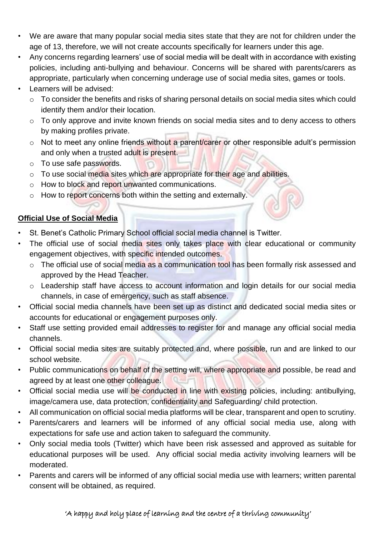- We are aware that many popular social media sites state that they are not for children under the age of 13, therefore, we will not create accounts specifically for learners under this age.
- Any concerns regarding learners' use of social media will be dealt with in accordance with existing policies, including anti-bullying and behaviour. Concerns will be shared with parents/carers as appropriate, particularly when concerning underage use of social media sites, games or tools.
- Learners will be advised:
	- o To consider the benefits and risks of sharing personal details on social media sites which could identify them and/or their location.
	- o To only approve and invite known friends on social media sites and to deny access to others by making profiles private.
	- $\circ$  Not to meet any online friends without a parent/carer or other responsible adult's permission and only when a trusted adult is present.
	- o To use safe passwords.
	- o To use social media sites which are appropriate for their age and abilities.
	- o How to block and report unwanted communications.
	- o How to report concerns both within the setting and externally.

### **Official Use of Social Media**

- St. Benet's Catholic Primary School official social media channel is Twitter.
- The official use of social media sites only takes place with clear educational or community engagement objectives, with specific intended outcomes.
	- o The official use of social media as a communication tool has been formally risk assessed and approved by the Head Teacher.
	- o Leadership staff have access to account information and login details for our social media channels, in case of emergency, such as staff absence.
- Official social media channels have been set up as distinct and dedicated social media sites or accounts for educational or engagement purposes only.
- Staff use setting provided email addresses to register for and manage any official social media channels.
- Official social media sites are suitably protected and, where possible, run and are linked to our school website.
- Public communications on behalf of the setting will, where appropriate and possible, be read and agreed by at least one other colleague.
- Official social media use will be conducted in line with existing policies, including: antibullying, image/camera use, data protection, confidentiality and Safeguarding/ child protection.
- All communication on official social media platforms will be clear, transparent and open to scrutiny.
- Parents/carers and learners will be informed of any official social media use, along with expectations for safe use and action taken to safeguard the community.
- Only social media tools (Twitter) which have been risk assessed and approved as suitable for educational purposes will be used. Any official social media activity involving learners will be moderated.
- Parents and carers will be informed of any official social media use with learners; written parental consent will be obtained, as required.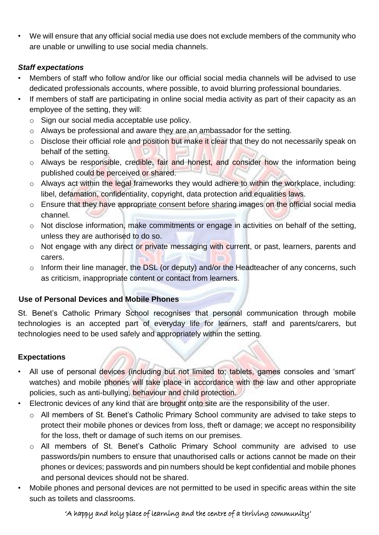• We will ensure that any official social media use does not exclude members of the community who are unable or unwilling to use social media channels.

### *Staff expectations*

- Members of staff who follow and/or like our official social media channels will be advised to use dedicated professionals accounts, where possible, to avoid blurring professional boundaries.
- If members of staff are participating in online social media activity as part of their capacity as an employee of the setting, they will:
	- o Sign our social media acceptable use policy.
	- o Always be professional and aware they are an ambassador for the setting.
	- o Disclose their official role and position but make it clear that they do not necessarily speak on behalf of the setting.
	- o Always be responsible, credible, fair and honest, and consider how the information being published could be perceived or shared.
	- $\circ$  Always act within the legal frameworks they would adhere to within the workplace, including: libel, defamation, confidentiality, copyright, data protection and equalities laws.
	- o Ensure that they have appropriate consent before sharing images on the official social media channel.
	- o Not disclose information, make commitments or engage in activities on behalf of the setting, unless they are authorised to do so.
	- o Not engage with any direct or private messaging with current, or past, learners, parents and carers.
	- $\circ$  Inform their line manager, the DSL (or deputy) and/or the Headteacher of any concerns, such as criticism, inappropriate content or contact from learners.

### **Use of Personal Devices and Mobile Phones**

St. Benet's Catholic Primary School recognises that personal communication through mobile technologies is an accepted part of everyday life for learners, staff and parents/carers, but technologies need to be used safely and appropriately within the setting.

### **Expectations**

- All use of personal devices (including but not limited to; tablets, games consoles and 'smart' watches) and mobile phones will take place in accordance with the law and other appropriate policies, such as anti-bullying, behaviour and child protection.
- Electronic devices of any kind that are brought onto site are the responsibility of the user.
	- o All members of St. Benet's Catholic Primary School community are advised to take steps to protect their mobile phones or devices from loss, theft or damage; we accept no responsibility for the loss, theft or damage of such items on our premises.
	- o All members of St. Benet's Catholic Primary School community are advised to use passwords/pin numbers to ensure that unauthorised calls or actions cannot be made on their phones or devices; passwords and pin numbers should be kept confidential and mobile phones and personal devices should not be shared.
- Mobile phones and personal devices are not permitted to be used in specific areas within the site such as toilets and classrooms.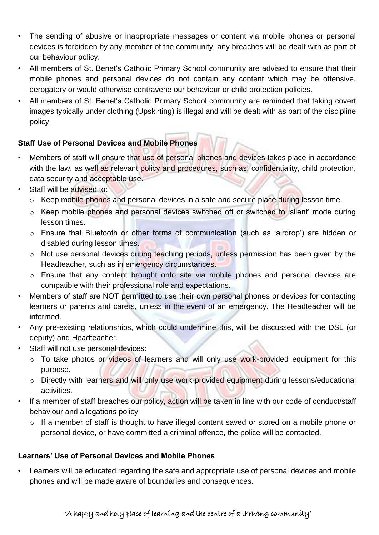- The sending of abusive or inappropriate messages or content via mobile phones or personal devices is forbidden by any member of the community; any breaches will be dealt with as part of our behaviour policy.
- All members of St. Benet's Catholic Primary School community are advised to ensure that their mobile phones and personal devices do not contain any content which may be offensive, derogatory or would otherwise contravene our behaviour or child protection policies.
- All members of St. Benet's Catholic Primary School community are reminded that taking covert images typically under clothing (Upskirting) is illegal and will be dealt with as part of the discipline policy.

### **Staff Use of Personal Devices and Mobile Phones**

- Members of staff will ensure that use of personal phones and devices takes place in accordance with the law, as well as relevant policy and procedures, such as: confidentiality, child protection, data security and acceptable use.
- Staff will be advised to:
	- o Keep mobile phones and personal devices in a safe and secure place during lesson time.
	- o Keep mobile phones and personal devices switched off or switched to 'silent' mode during lesson times.
	- o Ensure that Bluetooth or other forms of communication (such as 'airdrop') are hidden or disabled during lesson times.
	- o Not use personal devices during teaching periods, unless permission has been given by the Headteacher, such as in emergency circumstances.
	- o Ensure that any content brought onto site via mobile phones and personal devices are compatible with their professional role and expectations.
- Members of staff are NOT permitted to use their own personal phones or devices for contacting learners or parents and carers, unless in the event of an emergency. The Headteacher will be informed.
- Any pre-existing relationships, which could undermine this, will be discussed with the DSL (or deputy) and Headteacher.
- Staff will not use personal devices:
	- o To take photos or videos of learners and will only use work-provided equipment for this purpose.
	- o Directly with learners and will only use work-provided equipment during lessons/educational activities.
- If a member of staff breaches our policy, action will be taken in line with our code of conduct/staff behaviour and allegations policy
	- o If a member of staff is thought to have illegal content saved or stored on a mobile phone or personal device, or have committed a criminal offence, the police will be contacted.

### **Learners' Use of Personal Devices and Mobile Phones**

Learners will be educated regarding the safe and appropriate use of personal devices and mobile phones and will be made aware of boundaries and consequences.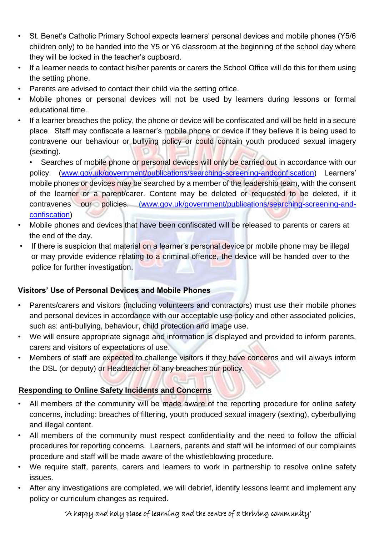- St. Benet's Catholic Primary School expects learners' personal devices and mobile phones (Y5/6 children only) to be handed into the Y5 or Y6 classroom at the beginning of the school day where they will be locked in the teacher's cupboard.
- If a learner needs to contact his/her parents or carers the School Office will do this for them using the setting phone.
- Parents are advised to contact their child via the setting office.
- Mobile phones or personal devices will not be used by learners during lessons or formal educational time.
- If a learner breaches the policy, the phone or device will be confiscated and will be held in a secure place. Staff may confiscate a learner's mobile phone or device if they believe it is being used to contravene our behaviour or bullying policy or could contain youth produced sexual imagery (sexting).

• Searches of mobile phone or personal devices will only be carried out in accordance with our policy. [\(www.gov.uk/government/publications/searching-screening-andconfiscation\)](http://www.gov.uk/government/publications/searching-screening-and-confiscation) Learners' mobile phones or devices may be searched by a member of the leadership team, with the consent of the learner or a parent/carer. Content may be deleted or requested to be deleted, if it contravenes our policies. [\(](http://(/)[www.gov.uk/government/publications/searching-screening-and](http://www.gov.uk/government/publications/searching-screening-and-confiscation)[confiscation\)](http://www.gov.uk/government/publications/searching-screening-and-confiscation) 

- Mobile phones and devices that have been confiscated will be released to parents or carers at the end of the day.
- If there is suspicion that material on a learner's personal device or mobile phone may be illegal or may provide evidence relating to a criminal offence, the device will be handed over to the police for further investigation.

### **Visitors' Use of Personal Devices and Mobile Phones**

- Parents/carers and visitors (including volunteers and contractors) must use their mobile phones and personal devices in accordance with our acceptable use policy and other associated policies, such as: anti-bullying, behaviour, child protection and image use.
- We will ensure appropriate signage and information is displayed and provided to inform parents, carers and visitors of expectations of use.
- Members of staff are expected to challenge visitors if they have concerns and will always inform the DSL (or deputy) or Headteacher of any breaches our policy.

### **Responding to Online Safety Incidents and Concerns**

- All members of the community will be made aware of the reporting procedure for online safety concerns, including: breaches of filtering, youth produced sexual imagery (sexting), cyberbullying and illegal content.
- All members of the community must respect confidentiality and the need to follow the official procedures for reporting concerns. Learners, parents and staff will be informed of our complaints procedure and staff will be made aware of the whistleblowing procedure.
- We require staff, parents, carers and learners to work in partnership to resolve online safety issues.
- After any investigations are completed, we will debrief, identify lessons learnt and implement any policy or curriculum changes as required.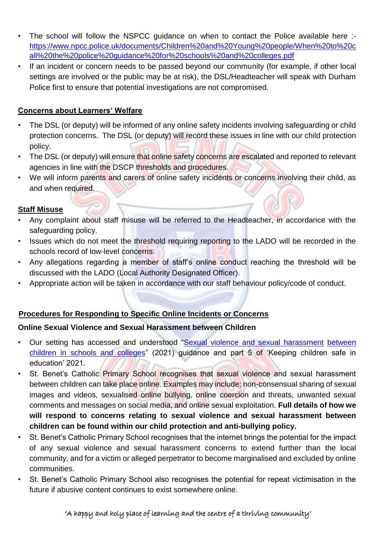- The school will follow the NSPCC quidance on when to contact the Police available here :[https://www.npcc.police.uk/documents/Children%20and%20Young%20people/When%20to%20c](https://www.npcc.police.uk/documents/Children%20and%20Young%20people/When%20to%20call%20the%20police%20guidance%20for%20schools%20and%20colleges.pdf)  [all%20the%20police%20guidance%20for%20schools%20and%20colleges.pdf](https://www.npcc.police.uk/documents/Children%20and%20Young%20people/When%20to%20call%20the%20police%20guidance%20for%20schools%20and%20colleges.pdf)
- If an incident or concern needs to be passed beyond our community (for example, if other local settings are involved or the public may be at risk), the DSL/Headteacher will speak with Durham Police first to ensure that potential investigations are not compromised.

### **Concerns about Learners' Welfare**

- The DSL (or deputy) will be informed of any online safety incidents involving safeguarding or child protection concerns. The DSL (or deputy) will record these issues in line with our child protection policy.
- The DSL (or deputy) will ensure that online safety concerns are escalated and reported to relevant agencies in line with the DSCP thresholds and procedures.
- We will inform parents and carers of online safety incidents or concerns involving their child, as and when required.

#### **Staff Misuse**

- Any complaint about staff misuse will be referred to the Headteacher, in accordance with the safeguarding policy.
- Issues which do not meet the threshold requiring reporting to the LADO will be recorded in the schools record of low-level concerns.
- Any allegations regarding a member of staff's online conduct reaching the threshold will be discussed with the LADO (Local Authority Designated Officer).
- Appropriate action will be taken in accordance with our staff behaviour policy/code of conduct.

### **Procedures for Responding to Specific Online Incidents or Concerns**

#### **Online Sexual Violence and Sexual Harassment between Children**

- Our setting has accessed and understood ["Sexual violence and sexual harassment](https://www.gov.uk/government/publications/sexual-violence-and-sexual-harassment-between-children-in-schools-and-colleges) between [children in schools and colleges"](https://www.gov.uk/government/publications/sexual-violence-and-sexual-harassment-between-children-in-schools-and-colleges) (2021) guidance and part 5 of 'Keeping children safe in education' 2021.
- St. Benet's Catholic Primary School recognises that sexual violence and sexual harassment between children can take place online. Examples may include; non-consensual sharing of sexual images and videos, sexualised online bullying, online coercion and threats, unwanted sexual comments and messages on social media, and online sexual exploitation. **Full details of how we will respond to concerns relating to sexual violence and sexual harassment between children can be found within our child protection and anti-bullying policy.**
- St. Benet's Catholic Primary School recognises that the internet brings the potential for the impact of any sexual violence and sexual harassment concerns to extend further than the local community, and for a victim or alleged perpetrator to become marginalised and excluded by online communities.
- St. Benet's Catholic Primary School also recognises the potential for repeat victimisation in the future if abusive content continues to exist somewhere online.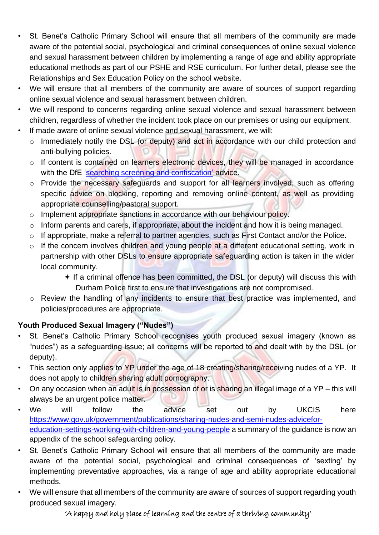- St. Benet's Catholic Primary School will ensure that all members of the community are made aware of the potential social, psychological and criminal consequences of online sexual violence and sexual harassment between children by implementing a range of age and ability appropriate educational methods as part of our PSHE and RSE curriculum. For further detail, please see the Relationships and Sex Education Policy on the school website.
- We will ensure that all members of the community are aware of sources of support regarding online sexual violence and sexual harassment between children.
- We will respond to concerns regarding online sexual violence and sexual harassment between children, regardless of whether the incident took place on our premises or using our equipment.
- If made aware of online sexual violence and sexual harassment, we will:
	- o Immediately notify the DSL (or deputy) and act in accordance with our child protection and anti-bullying policies.
	- o If content is contained on learners electronic devices, they will be managed in accordance with the DfE ['searching screening and confiscation'](https://www.gov.uk/government/publications/searching-screening-and-confiscation) [a](https://www.gov.uk/government/publications/searching-screening-and-confiscation)dvice.
	- o Provide the necessary safeguards and support for all learners involved, such as offering specific advice on blocking, reporting and removing online content, as well as providing appropriate counselling/pastoral support.
	- o Implement appropriate sanctions in accordance with our behaviour policy.
	- o Inform parents and carers, if appropriate, about the incident and how it is being managed.
	- o If appropriate, make a referral to partner agencies, such as First Contact and/or the Police.
	- o If the concern involves children and young people at a different educational setting, work in partnership with other DSLs to ensure appropriate safeguarding action is taken in the wider local community.
		- $+$  If a criminal offence has been committed, the DSL (or deputy) will discuss this with Durham Police first to ensure that investigations are not compromised.
	- o Review the handling of any incidents to ensure that best practice was implemented, and policies/procedures are appropriate.

### **Youth Produced Sexual Imagery ("Nudes")**

- St. Benet's Catholic Primary School recognises youth produced sexual imagery (known as "nudes") as a safeguarding issue; all concerns will be reported to and dealt with by the DSL (or deputy).
- This section only applies to YP under the age of 18 creating/sharing/receiving nudes of a YP. It does not apply to children sharing adult pornography.
- On any occasion when an adult is in possession of or is sharing an illegal image of a  $YP -$  this will always be an urgent police matter.
- We will follow the advice set out by UKCIS here [https://www.gov.uk/government/publications/sharing-nudes-and-semi-nudes-advicefor](https://www.gov.uk/government/publications/sharing-nudes-and-semi-nudes-advice-for-education-settings-working-with-children-and-young-people)[education-settings-working-with-children-and-young-people](https://www.gov.uk/government/publications/sharing-nudes-and-semi-nudes-advice-for-education-settings-working-with-children-and-young-people) a summary of the guidance is now an appendix of the school safeguarding policy.
- St. Benet's Catholic Primary School will ensure that all members of the community are made aware of the potential social, psychological and criminal consequences of 'sexting' by implementing preventative approaches, via a range of age and ability appropriate educational methods.
- We will ensure that all members of the community are aware of sources of support regarding youth produced sexual imagery.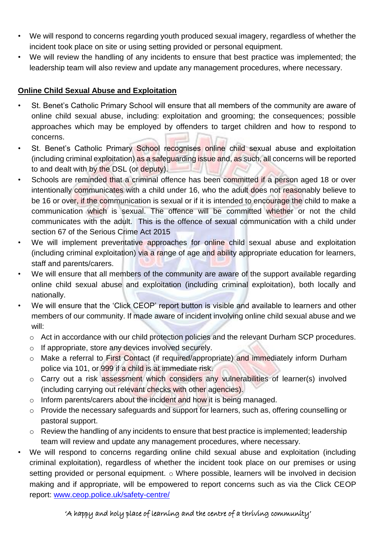- We will respond to concerns regarding youth produced sexual imagery, regardless of whether the incident took place on site or using setting provided or personal equipment.
- We will review the handling of any incidents to ensure that best practice was implemented; the leadership team will also review and update any management procedures, where necessary.

### **Online Child Sexual Abuse and Exploitation**

- St. Benet's Catholic Primary School will ensure that all members of the community are aware of online child sexual abuse, including: exploitation and grooming; the consequences; possible approaches which may be employed by offenders to target children and how to respond to concerns.
- St. Benet's Catholic Primary School recognises online child sexual abuse and exploitation (including criminal exploitation) as a safeguarding issue and, as such, all concerns will be reported to and dealt with by the DSL (or deputy).
- Schools are reminded that a criminal offence has been committed if a person aged 18 or over intentionally communicates with a child under 16, who the adult does not reasonably believe to be 16 or over, if the communication is sexual or if it is intended to encourage the child to make a communication which is sexual. The offence will be committed whether or not the child communicates with the adult. This is the offence of sexual communication with a child under section 67 of the Serious Crime Act 2015
- We will implement preventative approaches for online child sexual abuse and exploitation (including criminal exploitation) via a range of age and ability appropriate education for learners, staff and parents/carers.
- We will ensure that all members of the community are aware of the support available regarding online child sexual abuse and exploitation (including criminal exploitation), both locally and nationally.
- We will ensure that the 'Click CEOP' report button is visible and available to learners and other members of our community. If made aware of incident involving online child sexual abuse and we will:
	- o Act in accordance with our child protection policies and the relevant Durham SCP procedures.
	- o If appropriate, store any devices involved securely.
	- o Make a referral to First Contact (if required/appropriate) and immediately inform Durham police via 101, or 999 if a child is at immediate risk.
	- o Carry out a risk assessment which considers any vulnerabilities of learner(s) involved (including carrying out relevant checks with other agencies).
	- o Inform parents/carers about the incident and how it is being managed.
	- o Provide the necessary safeguards and support for learners, such as, offering counselling or pastoral support.
	- $\circ$  Review the handling of any incidents to ensure that best practice is implemented; leadership team will review and update any management procedures, where necessary.
- We will respond to concerns regarding online child sexual abuse and exploitation (including criminal exploitation), regardless of whether the incident took place on our premises or using setting provided or personal equipment.  $\circ$  Where possible, learners will be involved in decision making and if appropriate, will be empowered to report concerns such as via the Click CEOP report: [www.ceop.police.uk/safety-centre/](http://www.ceop.police.uk/safety-centre/)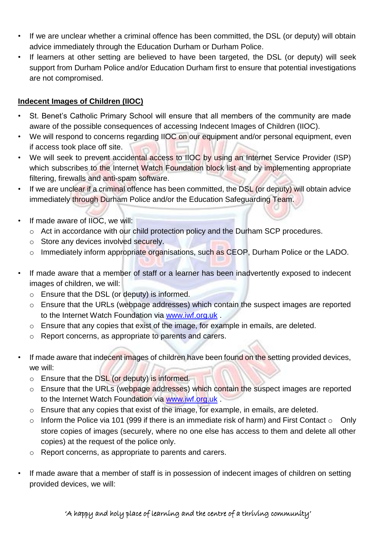- If we are unclear whether a criminal offence has been committed, the DSL (or deputy) will obtain advice immediately through the Education Durham or Durham Police.
- If learners at other setting are believed to have been targeted, the DSL (or deputy) will seek support from Durham Police and/or Education Durham first to ensure that potential investigations are not compromised.

### **Indecent Images of Children (IIOC)**

- St. Benet's Catholic Primary School will ensure that all members of the community are made aware of the possible consequences of accessing Indecent Images of Children (IIOC).
- We will respond to concerns regarding IIOC on our equipment and/or personal equipment, even if access took place off site.
- We will seek to prevent accidental access to IIOC by using an Internet Service Provider (ISP) which subscribes to the Internet Watch Foundation block list and by implementing appropriate filtering, firewalls and anti-spam software.
- If we are unclear if a criminal offence has been committed, the DSL (or deputy) will obtain advice immediately through Durham Police and/or the Education Safeguarding Team.
- If made aware of IIOC, we will:
	- o Act in accordance with our child protection policy and the Durham SCP procedures.
	- o Store any devices involved securely.
	- o Immediately inform appropriate organisations, such as CEOP, Durham Police or the LADO.
- If made aware that a member of staff or a learner has been inadvertently exposed to indecent images of children, we will:
	- o Ensure that the DSL (or deputy) is informed.
	- o Ensure that the URLs (webpage addresses) which contain the suspect images are reported to the Internet Watch Foundation via [www.iwf.org.uk](https://www.iwf.org.uk/) [.](https://www.iwf.org.uk/)
	- o Ensure that any copies that exist of the image, for example in emails, are deleted.
	- o Report concerns, as appropriate to parents and carers.
- If made aware that indecent images of children have been found on the setting provided devices, we will:
	- o Ensure that the DSL (or deputy) is informed.
	- o Ensure that the URLs (webpage addresses) which contain the suspect images are reported to the Internet Watch Foundation via [www.iwf.org.uk](https://www.iwf.org.uk/) [.](https://www.iwf.org.uk/)
	- o Ensure that any copies that exist of the image, for example, in emails, are deleted.
	- $\circ$  Inform the Police via 101 (999 if there is an immediate risk of harm) and First Contact  $\circ$  Only store copies of images (securely, where no one else has access to them and delete all other copies) at the request of the police only.
	- o Report concerns, as appropriate to parents and carers.
- If made aware that a member of staff is in possession of indecent images of children on setting provided devices, we will: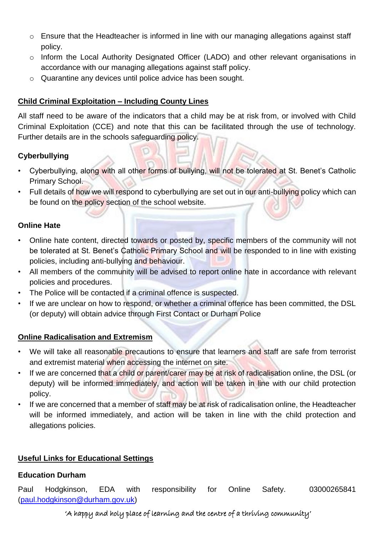- o Ensure that the Headteacher is informed in line with our managing allegations against staff policy.
- o Inform the Local Authority Designated Officer (LADO) and other relevant organisations in accordance with our managing allegations against staff policy.
- o Quarantine any devices until police advice has been sought.

### **Child Criminal Exploitation – Including County Lines**

All staff need to be aware of the indicators that a child may be at risk from, or involved with Child Criminal Exploitation (CCE) and note that this can be facilitated through the use of technology. Further details are in the schools safeguarding policy.

### **Cyberbullying**

- Cyberbullying, along with all other forms of bullying, will not be tolerated at St. Benet's Catholic Primary School.
- Full details of how we will respond to cyberbullying are set out in our anti-bullying policy which can be found on the policy section of the school website.

### **Online Hate**

- Online hate content, directed towards or posted by, specific members of the community will not be tolerated at St. Benet's Catholic Primary School and will be responded to in line with existing policies, including anti-bullying and behaviour.
- All members of the community will be advised to report online hate in accordance with relevant policies and procedures.
- The Police will be contacted if a criminal offence is suspected.
- If we are unclear on how to respond, or whether a criminal offence has been committed, the DSL (or deputy) will obtain advice through First Contact or Durham Police

### **Online Radicalisation and Extremism**

- We will take all reasonable precautions to ensure that learners and staff are safe from terrorist and extremist material when accessing the internet on site.
- If we are concerned that a child or parent/carer may be at risk of radicalisation online, the DSL (or deputy) will be informed immediately, and action will be taken in line with our child protection policy.
- If we are concerned that a member of staff may be at risk of radicalisation online, the Headteacher will be informed immediately, and action will be taken in line with the child protection and allegations policies.

### **Useful Links for Educational Settings**

### **Education Durham**

Paul Hodgkinson, EDA with responsibility for Online Safety. 03000265841 (paul.hodgkinson@durham.gov.uk)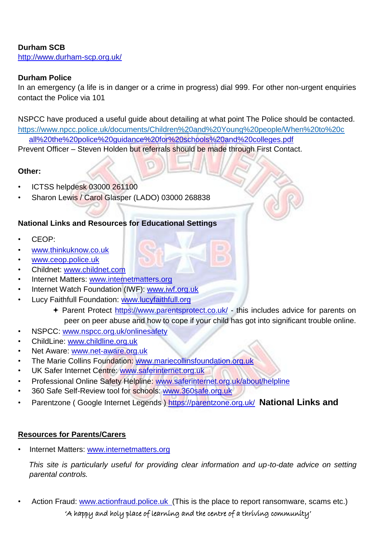#### **Durham SCB**  http://www.durham-scp.org.uk/

### **Durham Police**

In an emergency (a life is in danger or a crime in progress) dial 999. For other non-urgent enquiries contact the Police via 101

NSPCC have produced a useful guide about detailing at what point The Police should be contacted. <https://www.npcc.police.uk/documents/Children%20and%20Young%20people/When%20to%20c> [all%20the%20police%20guidance%20for%20schools%20and%20colleges.pdf](https://www.npcc.police.uk/documents/Children%20and%20Young%20people/When%20to%20call%20the%20police%20guidance%20for%20schools%20and%20colleges.pdf)

Prevent Officer – Steven Holden but referrals should be made through First Contact.

### **Other:**

- ICTSS helpdesk 03000 261100
- Sharon Lewis / Carol Glasper (LADO) 03000 268838

### **National Links and Resources for Educational Settings**

- CEOP:
- [www.thinkuknow.co.uk](http://www.thinkuknow.co.uk/)
- [www.ceop.police.uk](http://www.ceop.police.uk/)
- Childnet: [www.childnet.com](http://www.childnet.com/)
- Internet Matters: [www.internetmatters.org](http://www.internetmatters.org/)
- Internet Watch Foundation (IWF): [www.iwf.org.uk](http://www.iwf.org.uk/)
- Lucy Faithfull Foundation: [www.lucyfaithfull.org](http://www.lucyfaithfull.org/)
	- Parent Protect<https://www.parentsprotect.co.uk/> [-](https://www.parentsprotect.co.uk/) this includes advice for parents on peer on peer abuse and how to cope if your child has got into significant trouble online.
- NSPCC: [www.nspcc.org.uk/onlinesafety](http://www.nspcc.org.uk/onlinesafety)
- ChildLine: [www.childline.org.uk](http://www.childline.org.uk/)
- Net Aware: [www.net-aware.org.uk](http://www.net-aware.org.uk/)
- The Marie Collins Foundation: [www.mariecollinsfoundation.org.uk](http://www.mariecollinsfoundation.org.uk/)
- UK Safer Internet Centre: [www.saferinternet.org.uk](http://www.saferinternet.org.uk/)
- Professional Online Safety Helpline: [www.saferinternet.org.uk/about/helpline](http://www.saferinternet.org.uk/about/helpline)
- 360 Safe Self-Review tool for schools: [www.360safe.org.uk](http://www.360safe.org.uk/)
- Parentzone ( Google Internet Legends )<https://parentzone.org.uk/> **National Links and**

### **Resources for Parents/Carers**

Internet Matters: [www.internetmatters.org](http://www.internetmatters.org/)

*This site is particularly useful for providing clear information and up-to-date advice on setting parental controls.* 

Action Fraud: [www.actionfraud.police.uk](http://www.actionfraud.police.uk/) (This is the place to report ransomware, scams etc.)